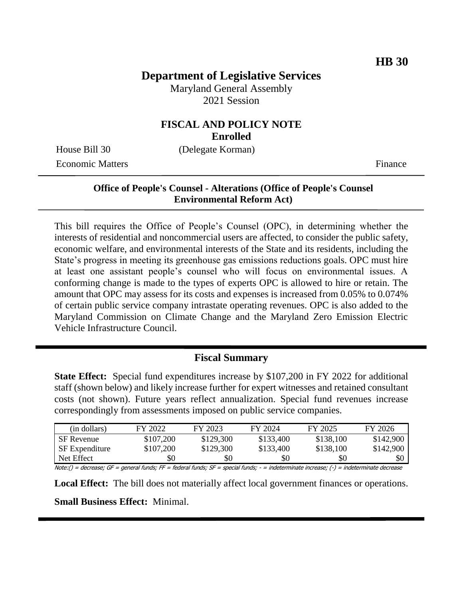# **Department of Legislative Services**

Maryland General Assembly 2021 Session

#### **FISCAL AND POLICY NOTE Enrolled**

House Bill 30 (Delegate Korman) Economic Matters **Finance** 

### **Office of People's Counsel - Alterations (Office of People's Counsel Environmental Reform Act)**

This bill requires the Office of People's Counsel (OPC), in determining whether the interests of residential and noncommercial users are affected, to consider the public safety, economic welfare, and environmental interests of the State and its residents, including the State's progress in meeting its greenhouse gas emissions reductions goals. OPC must hire at least one assistant people's counsel who will focus on environmental issues. A conforming change is made to the types of experts OPC is allowed to hire or retain. The amount that OPC may assess for its costs and expenses is increased from 0.05% to 0.074% of certain public service company intrastate operating revenues. OPC is also added to the Maryland Commission on Climate Change and the Maryland Zero Emission Electric Vehicle Infrastructure Council.

## **Fiscal Summary**

**State Effect:** Special fund expenditures increase by \$107,200 in FY 2022 for additional staff (shown below) and likely increase further for expert witnesses and retained consultant costs (not shown). Future years reflect annualization. Special fund revenues increase correspondingly from assessments imposed on public service companies.

| (in dollars)          | FY 2022   | FY 2023   | FY 2024   | FY 2025   | FY 2026   |
|-----------------------|-----------|-----------|-----------|-----------|-----------|
| <b>SF</b> Revenue     | \$107,200 | \$129,300 | \$133,400 | \$138,100 | \$142,900 |
| <b>SF</b> Expenditure | \$107,200 | \$129,300 | \$133,400 | \$138,100 | \$142,900 |
| Net Effect            | \$0       | \$0       | \$0       | \$0       | \$0       |

Note:() = decrease; GF = general funds; FF = federal funds; SF = special funds; - = indeterminate increase; (-) = indeterminate decrease

**Local Effect:** The bill does not materially affect local government finances or operations. **Small Business Effect:** Minimal.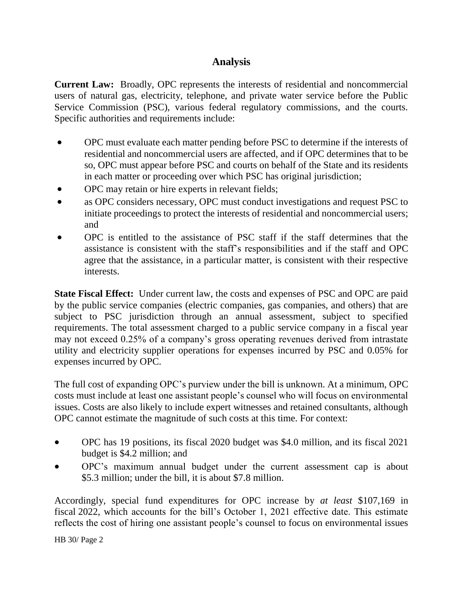# **Analysis**

**Current Law:** Broadly, OPC represents the interests of residential and noncommercial users of natural gas, electricity, telephone, and private water service before the Public Service Commission (PSC), various federal regulatory commissions, and the courts. Specific authorities and requirements include:

- OPC must evaluate each matter pending before PSC to determine if the interests of residential and noncommercial users are affected, and if OPC determines that to be so, OPC must appear before PSC and courts on behalf of the State and its residents in each matter or proceeding over which PSC has original jurisdiction;
- OPC may retain or hire experts in relevant fields;
- as OPC considers necessary, OPC must conduct investigations and request PSC to initiate proceedings to protect the interests of residential and noncommercial users; and
- OPC is entitled to the assistance of PSC staff if the staff determines that the assistance is consistent with the staff's responsibilities and if the staff and OPC agree that the assistance, in a particular matter, is consistent with their respective interests.

**State Fiscal Effect:** Under current law, the costs and expenses of PSC and OPC are paid by the public service companies (electric companies, gas companies, and others) that are subject to PSC jurisdiction through an annual assessment, subject to specified requirements. The total assessment charged to a public service company in a fiscal year may not exceed 0.25% of a company's gross operating revenues derived from intrastate utility and electricity supplier operations for expenses incurred by PSC and 0.05% for expenses incurred by OPC.

The full cost of expanding OPC's purview under the bill is unknown. At a minimum, OPC costs must include at least one assistant people's counsel who will focus on environmental issues. Costs are also likely to include expert witnesses and retained consultants, although OPC cannot estimate the magnitude of such costs at this time. For context:

- OPC has 19 positions, its fiscal 2020 budget was \$4.0 million, and its fiscal 2021 budget is \$4.2 million; and
- OPC's maximum annual budget under the current assessment cap is about \$5.3 million; under the bill, it is about \$7.8 million.

Accordingly, special fund expenditures for OPC increase by *at least* \$107,169 in fiscal 2022, which accounts for the bill's October 1, 2021 effective date. This estimate reflects the cost of hiring one assistant people's counsel to focus on environmental issues

HB 30/ Page 2